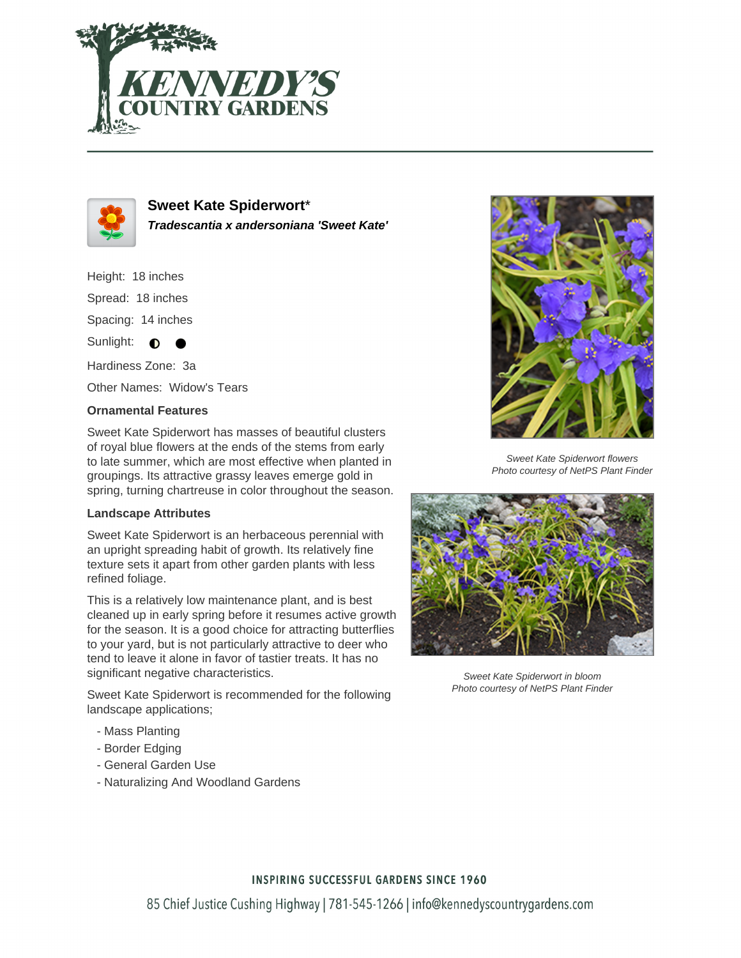



**Sweet Kate Spiderwort**\* **Tradescantia x andersoniana 'Sweet Kate'**

Height: 18 inches Spread: 18 inches Spacing: 14 inches Sunlight:  $\bigcirc$ Hardiness Zone: 3a

Other Names: Widow's Tears

## **Ornamental Features**

Sweet Kate Spiderwort has masses of beautiful clusters of royal blue flowers at the ends of the stems from early to late summer, which are most effective when planted in groupings. Its attractive grassy leaves emerge gold in spring, turning chartreuse in color throughout the season.

## **Landscape Attributes**

Sweet Kate Spiderwort is an herbaceous perennial with an upright spreading habit of growth. Its relatively fine texture sets it apart from other garden plants with less refined foliage.

This is a relatively low maintenance plant, and is best cleaned up in early spring before it resumes active growth for the season. It is a good choice for attracting butterflies to your yard, but is not particularly attractive to deer who tend to leave it alone in favor of tastier treats. It has no significant negative characteristics.

Sweet Kate Spiderwort is recommended for the following landscape applications;

- Mass Planting
- Border Edging
- General Garden Use
- Naturalizing And Woodland Gardens



Sweet Kate Spiderwort flowers Photo courtesy of NetPS Plant Finder



Sweet Kate Spiderwort in bloom Photo courtesy of NetPS Plant Finder

## **INSPIRING SUCCESSFUL GARDENS SINCE 1960**